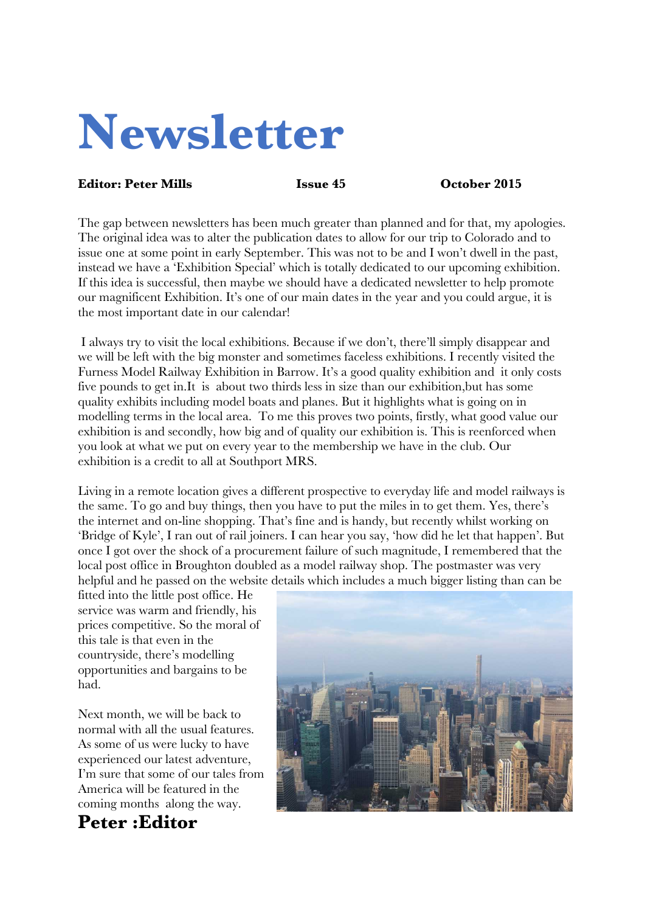# **Newsletter**

#### **Editor: Peter Mills Issue 45 October 2015**

The gap between newsletters has been much greater than planned and for that, my apologies. The original idea was to alter the publication dates to allow for our trip to Colorado and to issue one at some point in early September. This was not to be and I won't dwell in the past, instead we have a 'Exhibition Special' which is totally dedicated to our upcoming exhibition. If this idea is successful, then maybe we should have a dedicated newsletter to help promote our magnificent Exhibition. It's one of our main dates in the year and you could argue, it is the most important date in our calendar!

I always try to visit the local exhibitions. Because if we don't, there'll simply disappear and we will be left with the big monster and sometimes faceless exhibitions. I recently visited the Furness Model Railway Exhibition in Barrow. It's a good quality exhibition and it only costs five pounds to get in.It is about two thirds less in size than our exhibition,but has some quality exhibits including model boats and planes. But it highlights what is going on in modelling terms in the local area. To me this proves two points, firstly, what good value our exhibition is and secondly, how big and of quality our exhibition is. This is reenforced when you look at what we put on every year to the membership we have in the club. Our exhibition is a credit to all at Southport MRS.

Living in a remote location gives a different prospective to everyday life and model railways is the same. To go and buy things, then you have to put the miles in to get them. Yes, there's the internet and on-line shopping. That's fine and is handy, but recently whilst working on 'Bridge of Kyle', I ran out of rail joiners. I can hear you say, 'how did he let that happen'. But once I got over the shock of a procurement failure of such magnitude, I remembered that the local post office in Broughton doubled as a model railway shop. The postmaster was very helpful and he passed on the website details which includes a much bigger listing than can be

fitted into the little post office. He service was warm and friendly, his prices competitive. So the moral of this tale is that even in the countryside, there's modelling opportunities and bargains to be had.

Next month, we will be back to normal with all the usual features. As some of us were lucky to have experienced our latest adventure, I'm sure that some of our tales from America will be featured in the coming months along the way.

# **Peter :Editor**

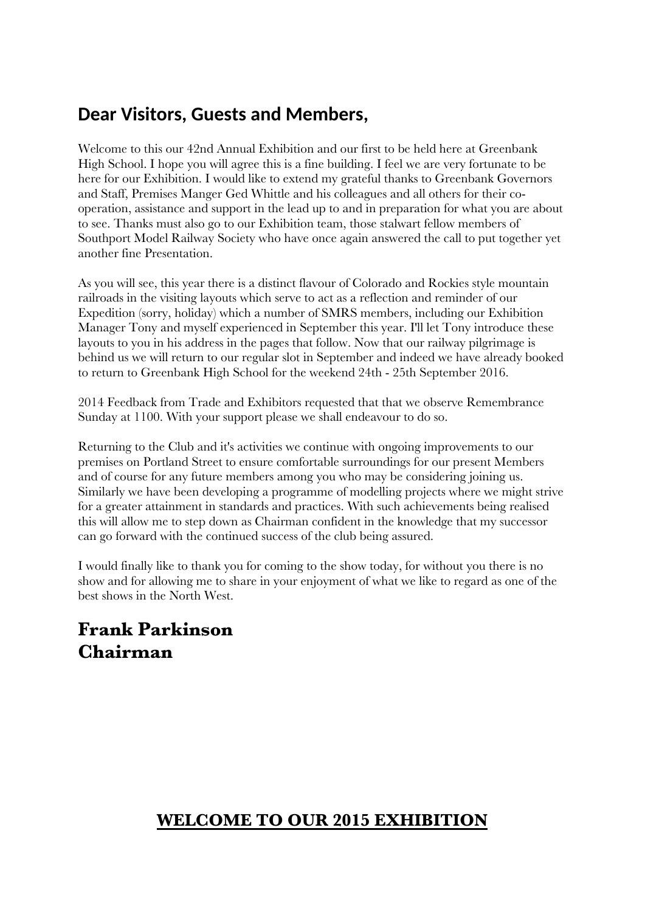# **Dear Visitors, Guests and Members,**

Welcome to this our 42nd Annual Exhibition and our first to be held here at Greenbank High School. I hope you will agree this is a fine building. I feel we are very fortunate to be here for our Exhibition. I would like to extend my grateful thanks to Greenbank Governors and Staff, Premises Manger Ged Whittle and his colleagues and all others for their cooperation, assistance and support in the lead up to and in preparation for what you are about to see. Thanks must also go to our Exhibition team, those stalwart fellow members of Southport Model Railway Society who have once again answered the call to put together yet another fine Presentation.

As you will see, this year there is a distinct flavour of Colorado and Rockies style mountain railroads in the visiting layouts which serve to act as a reflection and reminder of our Expedition (sorry, holiday) which a number of SMRS members, including our Exhibition Manager Tony and myself experienced in September this year. I'll let Tony introduce these layouts to you in his address in the pages that follow. Now that our railway pilgrimage is behind us we will return to our regular slot in September and indeed we have already booked to return to Greenbank High School for the weekend 24th - 25th September 2016.

2014 Feedback from Trade and Exhibitors requested that that we observe Remembrance Sunday at 1100. With your support please we shall endeavour to do so.

Returning to the Club and it's activities we continue with ongoing improvements to our premises on Portland Street to ensure comfortable surroundings for our present Members and of course for any future members among you who may be considering joining us. Similarly we have been developing a programme of modelling projects where we might strive for a greater attainment in standards and practices. With such achievements being realised this will allow me to step down as Chairman confident in the knowledge that my successor can go forward with the continued success of the club being assured.

I would finally like to thank you for coming to the show today, for without you there is no show and for allowing me to share in your enjoyment of what we like to regard as one of the best shows in the North West.

## **Frank Parkinson Chairman**

#### **WELCOME TO OUR 2015 EXHIBITION**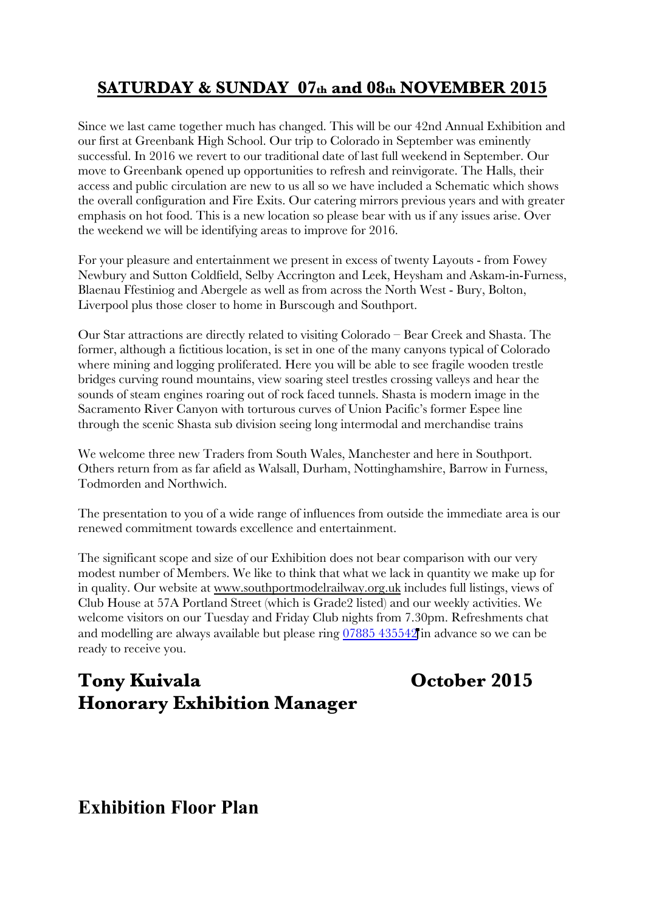### **SATURDAY & SUNDAY 07th and 08th NOVEMBER 2015**

Since we last came together much has changed. This will be our 42nd Annual Exhibition and our first at Greenbank High School. Our trip to Colorado in September was eminently successful. In 2016 we revert to our traditional date of last full weekend in September. Our move to Greenbank opened up opportunities to refresh and reinvigorate. The Halls, their access and public circulation are new to us all so we have included a Schematic which shows the overall configuration and Fire Exits. Our catering mirrors previous years and with greater emphasis on hot food. This is a new location so please bear with us if any issues arise. Over the weekend we will be identifying areas to improve for 2016.

For your pleasure and entertainment we present in excess of twenty Layouts - from Fowey Newbury and Sutton Coldfield, Selby Accrington and Leek, Heysham and Askam-in-Furness, Blaenau Ffestiniog and Abergele as well as from across the North West - Bury, Bolton, Liverpool plus those closer to home in Burscough and Southport.

Our Star attractions are directly related to visiting Colorado – Bear Creek and Shasta. The former, although a fictitious location, is set in one of the many canyons typical of Colorado where mining and logging proliferated. Here you will be able to see fragile wooden trestle bridges curving round mountains, view soaring steel trestles crossing valleys and hear the sounds of steam engines roaring out of rock faced tunnels. Shasta is modern image in the Sacramento River Canyon with torturous curves of Union Pacific's former Espee line through the scenic Shasta sub division seeing long intermodal and merchandise trains

We welcome three new Traders from South Wales, Manchester and here in Southport. Others return from as far afield as Walsall, Durham, Nottinghamshire, Barrow in Furness, Todmorden and Northwich.

The presentation to you of a wide range of influences from outside the immediate area is our renewed commitment towards excellence and entertainment.

The significant scope and size of our Exhibition does not bear comparison with our very modest number of Members. We like to think that what we lack in quantity we make up for in quality. Our website at www.southportmodelrailway.org.uk includes full listings, views of Club House at 57A Portland Street (which is Grade2 listed) and our weekly activities. We welcome visitors on our Tuesday and Friday Club nights from 7.30pm. Refreshments chat and modelling are always available but please ring 07885 [435542](file:///Users/newmac/Documents/1 Railways/2 SMRS/1 Newsletters/tel:07885 435542) in advance so we can be ready to receive you.

# **Tony Kuivala October 2015 Honorary Exhibition Manager**

#### **Exhibition Floor Plan**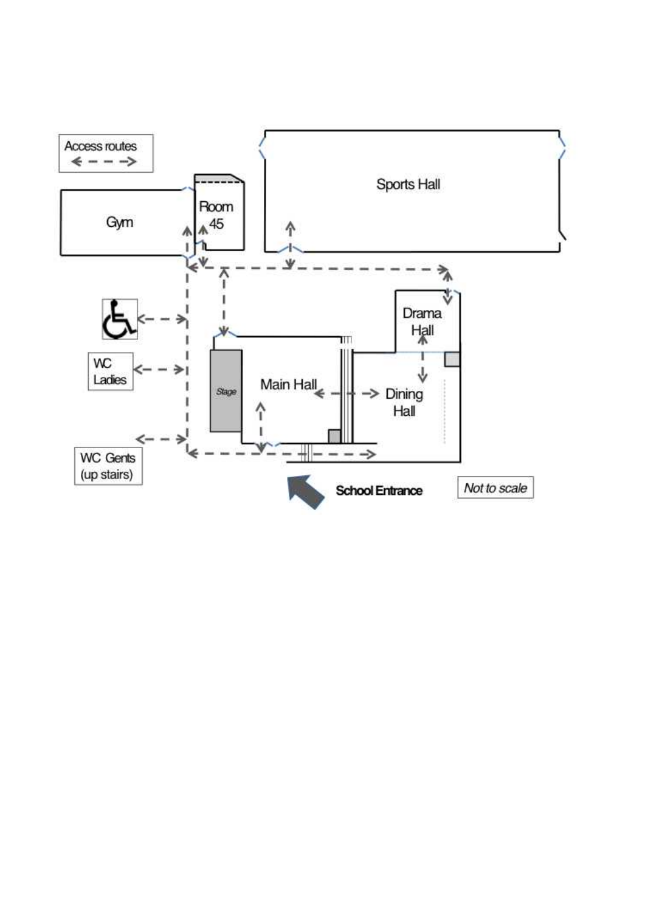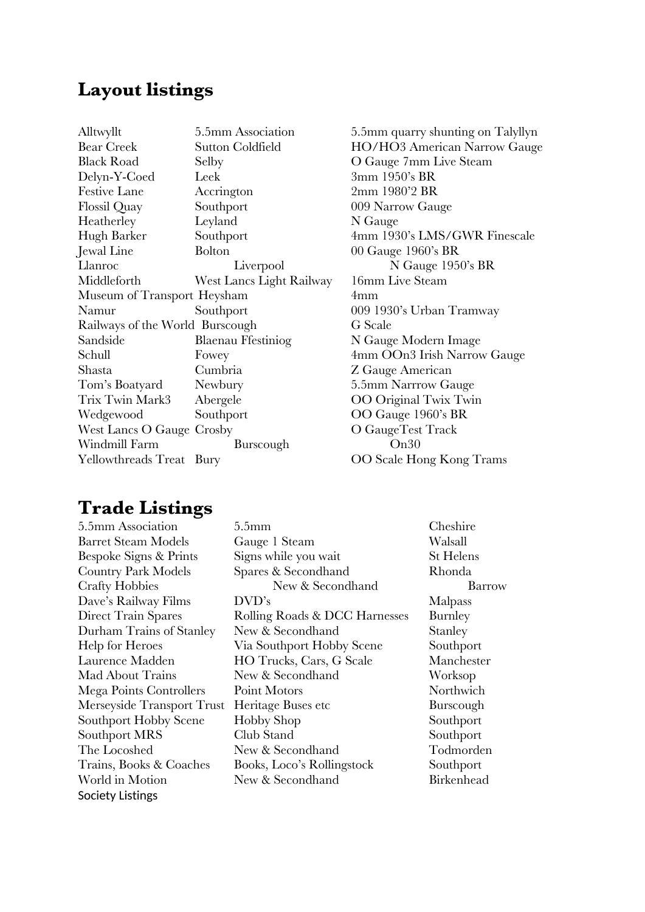#### **Layout listings**

| Alltwyllt                       | 5.5mm Association        | 5.5mm quarr  |
|---------------------------------|--------------------------|--------------|
| <b>Bear Creek</b>               | <b>Sutton Coldfield</b>  | HO/HO3 A     |
| <b>Black Road</b>               | Selby                    | O Gauge 7m   |
| Delyn-Y-Coed                    | Leek                     | 3mm 1950's   |
| <b>Festive Lane</b>             | Accrington               | 2mm 1980'2   |
| <b>Flossil Quay</b>             | Southport                | 009 Narrow   |
| Heatherley                      | Leyland                  | N Gauge      |
| Hugh Barker                     | Southport                | 4mm 1930's   |
| Jewal Line                      | <b>Bolton</b>            | 00 Gauge 19  |
| Llanroc                         | Liverpool                | N Ga         |
| Middleforth                     | West Lancs Light Railway | 16mm Live S  |
| Museum of Transport Heysham     |                          | 4mm          |
| Namur                           | Southport                | 009 1930's U |
| Railways of the World Burscough |                          | G Scale      |
| Sandside                        | Blaenau Ffestiniog       | N Gauge Mo   |
| Schull                          | Fowey                    | 4mm OOn3     |
| Shasta                          | Cumbria                  | Z Gauge Am   |
| Tom's Boatyard                  | Newbury                  | 5.5mm Narrı  |
| Trix Twin Mark3                 | Abergele                 | OO Original  |
| Wedgewood                       | Southport                | OO Gauge 1   |
| West Lancs O Gauge Crosby       |                          | O GaugeTes   |
| Windmill Farm                   | Burscough                | On30         |
| Yellowthreads Treat Bury        |                          | OO Scale Ho  |
|                                 |                          |              |

5.5mm quarry shunting on Talyllyn HO/HO3 American Narrow Gauge O Gauge 7mm Live Steam 3mm 1950's BR 2mm 1980'2 BR 009 Narrow Gauge N Gauge 4mm 1930's LMS/GWR Finescale  $00$  Gauge 1960's BR N Gauge 1950's BR 16mm Live Steam 009 1930's Urban Tramway G Scale N Gauge Modern Image 4mm OOn3 Irish Narrow Gauge Z Gauge American 5.5mm Narrrow Gauge OO Original Twix Twin OO Gauge 1960's BR O GaugeTest Track OO Scale Hong Kong Trams

### **Trade Listings**

Society Listings

5.5mm Association 5.5mm Cheshire Barret Steam Models Gauge 1 Steam Walsall Bespoke Signs & Prints Signs while you wait St Helens Country Park Models Spares & Secondhand Rhonda Crafty Hobbies New & Secondhand Barrow Dave's Railway Films DVD's Malpass Direct Train Spares Rolling Roads & DCC Harnesses Burnley Durham Trains of Stanley New & Secondhand Stanley Help for Heroes Via Southport Hobby Scene Southport Laurence Madden HO Trucks, Cars, G Scale Manchester Mad About Trains New & Secondhand Worksop Mega Points Controllers Point Motors Northwich Merseyside Transport Trust Heritage Buses etc Burscough Southport Hobby Scene Hobby Shop Southport Southport MRS Club Stand Southport The Locoshed New & Secondhand Todmorden Trains, Books & Coaches Books, Loco's Rollingstock Southport World in Motion New & Secondhand Birkenhead